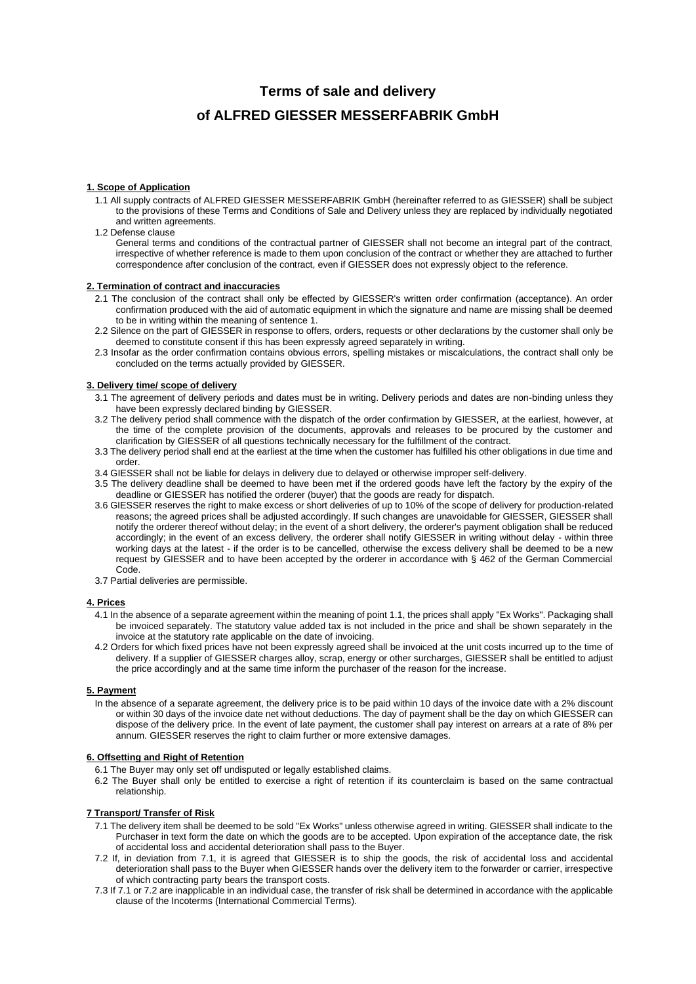# **Terms of sale and delivery**

# **of ALFRED GIESSER MESSERFABRIK GmbH**

#### **1. Scope of Application**

- 1.1 All supply contracts of ALFRED GIESSER MESSERFABRIK GmbH (hereinafter referred to as GIESSER) shall be subject to the provisions of these Terms and Conditions of Sale and Delivery unless they are replaced by individually negotiated and written agreements.
- 1.2 Defense clause

General terms and conditions of the contractual partner of GIESSER shall not become an integral part of the contract, irrespective of whether reference is made to them upon conclusion of the contract or whether they are attached to further correspondence after conclusion of the contract, even if GIESSER does not expressly object to the reference.

# **2. Termination of contract and inaccuracies**

- 2.1 The conclusion of the contract shall only be effected by GIESSER's written order confirmation (acceptance). An order confirmation produced with the aid of automatic equipment in which the signature and name are missing shall be deemed to be in writing within the meaning of sentence 1.
- 2.2 Silence on the part of GIESSER in response to offers, orders, requests or other declarations by the customer shall only be deemed to constitute consent if this has been expressly agreed separately in writing.
- 2.3 Insofar as the order confirmation contains obvious errors, spelling mistakes or miscalculations, the contract shall only be concluded on the terms actually provided by GIESSER.

### **3. Delivery time/ scope of delivery**

- 3.1 The agreement of delivery periods and dates must be in writing. Delivery periods and dates are non-binding unless they have been expressly declared binding by GIESSER.
- 3.2 The delivery period shall commence with the dispatch of the order confirmation by GIESSER, at the earliest, however, at the time of the complete provision of the documents, approvals and releases to be procured by the customer and clarification by GIESSER of all questions technically necessary for the fulfillment of the contract.
- 3.3 The delivery period shall end at the earliest at the time when the customer has fulfilled his other obligations in due time and order.
- 3.4 GIESSER shall not be liable for delays in delivery due to delayed or otherwise improper self-delivery.
- 3.5 The delivery deadline shall be deemed to have been met if the ordered goods have left the factory by the expiry of the deadline or GIESSER has notified the orderer (buyer) that the goods are ready for dispatch.
- 3.6 GIESSER reserves the right to make excess or short deliveries of up to 10% of the scope of delivery for production-related reasons; the agreed prices shall be adjusted accordingly. If such changes are unavoidable for GIESSER, GIESSER shall notify the orderer thereof without delay; in the event of a short delivery, the orderer's payment obligation shall be reduced accordingly; in the event of an excess delivery, the orderer shall notify GIESSER in writing without delay - within three working days at the latest - if the order is to be cancelled, otherwise the excess delivery shall be deemed to be a new request by GIESSER and to have been accepted by the orderer in accordance with § 462 of the German Commercial Code.
- 3.7 Partial deliveries are permissible.

#### **4. Prices**

- 4.1 In the absence of a separate agreement within the meaning of point 1.1, the prices shall apply "Ex Works". Packaging shall be invoiced separately. The statutory value added tax is not included in the price and shall be shown separately in the invoice at the statutory rate applicable on the date of invoicing.
- 4.2 Orders for which fixed prices have not been expressly agreed shall be invoiced at the unit costs incurred up to the time of delivery. If a supplier of GIESSER charges alloy, scrap, energy or other surcharges, GIESSER shall be entitled to adjust the price accordingly and at the same time inform the purchaser of the reason for the increase.

#### **5. Payment**

In the absence of a separate agreement, the delivery price is to be paid within 10 days of the invoice date with a 2% discount or within 30 days of the invoice date net without deductions. The day of payment shall be the day on which GIESSER can dispose of the delivery price. In the event of late payment, the customer shall pay interest on arrears at a rate of 8% per annum. GIESSER reserves the right to claim further or more extensive damages.

#### **6. Offsetting and Right of Retention**

- 6.1 The Buyer may only set off undisputed or legally established claims.
- 6.2 The Buyer shall only be entitled to exercise a right of retention if its counterclaim is based on the same contractual relationship.

#### **7 Transport/ Transfer of Risk**

- 7.1 The delivery item shall be deemed to be sold "Ex Works" unless otherwise agreed in writing. GIESSER shall indicate to the Purchaser in text form the date on which the goods are to be accepted. Upon expiration of the acceptance date, the risk of accidental loss and accidental deterioration shall pass to the Buyer.
- 7.2 If, in deviation from 7.1, it is agreed that GIESSER is to ship the goods, the risk of accidental loss and accidental deterioration shall pass to the Buyer when GIESSER hands over the delivery item to the forwarder or carrier, irrespective of which contracting party bears the transport costs.
- 7.3 If 7.1 or 7.2 are inapplicable in an individual case, the transfer of risk shall be determined in accordance with the applicable clause of the Incoterms (International Commercial Terms).